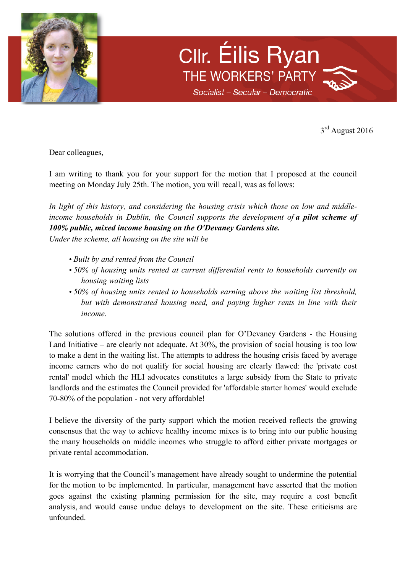

Cllr. Éilis Ryan THE WORKERS' PARTY Socialist - Secular - Democratic

3rd August 2016

Dear colleagues,

I am writing to thank you for your support for the motion that I proposed at the council meeting on Monday July 25th. The motion, you will recall, was as follows:

*In light of this history, and considering the housing crisis which those on low and middleincome households in Dublin, the Council supports the development of a pilot scheme of 100% public, mixed income housing on the O'Devaney Gardens site.*

*Under the scheme, all housing on the site will be*

- *Built by and rented from the Council*
- *50% of housing units rented at current differential rents to households currently on housing waiting lists*
- *50% of housing units rented to households earning above the waiting list threshold, but with demonstrated housing need, and paying higher rents in line with their income.*

The solutions offered in the previous council plan for O'Devaney Gardens - the Housing Land Initiative – are clearly not adequate. At 30%, the provision of social housing is too low to make a dent in the waiting list. The attempts to address the housing crisis faced by average income earners who do not qualify for social housing are clearly flawed: the 'private cost rental' model which the HLI advocates constitutes a large subsidy from the State to private landlords and the estimates the Council provided for 'affordable starter homes' would exclude 70-80% of the population - not very affordable!

I believe the diversity of the party support which the motion received reflects the growing consensus that the way to achieve healthy income mixes is to bring into our public housing the many households on middle incomes who struggle to afford either private mortgages or private rental accommodation.

It is worrying that the Council's management have already sought to undermine the potential for the motion to be implemented. In particular, management have asserted that the motion goes against the existing planning permission for the site, may require a cost benefit analysis, and would cause undue delays to development on the site. These criticisms are unfounded.